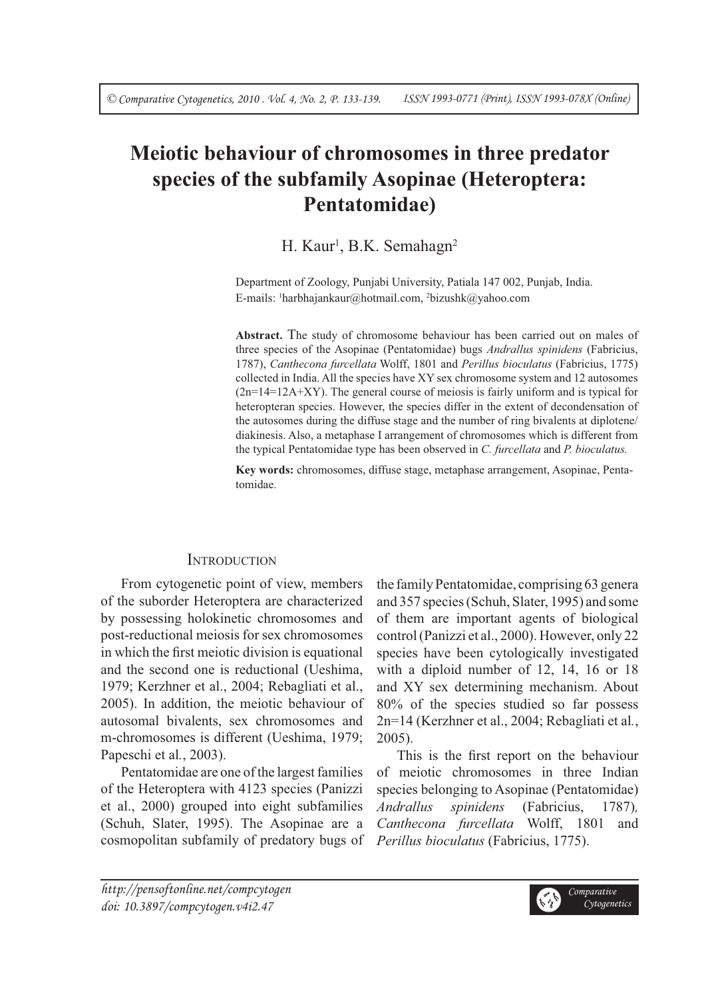# **Meiotic behaviour of chromosomes in three predator species of the subfamily Asopinae (Heteroptera: Pentatomidae)**

H. Kaur<sup>1</sup>, B.K. Semahagn<sup>2</sup>

Department of Zoology, Punjabi University, Patiala 147 002, Punjab, India. E-mails: 1 harbhajankaur@hotmail.com, 2 bizushk@yahoo.com

**Abstract.** The study of chromosome behaviour has been carried out on males of three species of the Asopinae (Pentatomidae) bugs *Andrallus spinidens* (Fabricius, 1787), *Canthecona furcellata* Wolff, 1801 and *Perillus bioculatus* (Fabricius, 1775) collected in India. All the species have XY sex chromosome system and 12 autosomes  $(2n=14=12A+XY)$ . The general course of meiosis is fairly uniform and is typical for heteropteran species. However, the species differ in the extent of decondensation of the autosomes during the diffuse stage and the number of ring bivalents at diplotene/ diakinesis. Also, a metaphase I arrangement of chromosomes which is different from the typical Pentatomidae type has been observed in *C. furcellata* and *P. bioculatus.*

**Key words:** chromosomes, diffuse stage, metaphase arrangement, Asopinae, Pentatomidae.

# **INTRODUCTION**

From cytogenetic point of view, members of the suborder Heteroptera are characterized by possessing holokinetic chromosomes and post-reductional meiosis for sex chromosomes in which the first meiotic division is equational and the second one is reductional (Ueshima, 1979; Kerzhner et al., 2004; Rebagliati et al., 2005). In addition, the meiotic behaviour of autosomal bivalents, sex chromosomes and m-chromosomes is different (Ueshima, 1979; Papeschi et al*.*, 2003).

Pentatomidae are one of the largest families of the Heteroptera with 4123 species (Panizzi et al., 2000) grouped into eight subfamilies (Schuh, Slater, 1995). The Asopinae are a cosmopolitan subfamily of predatory bugs of the family Pentatomidae, comprising 63 genera and 357 species (Schuh, Slater, 1995) and some of them are important agents of biological control (Panizzi et al., 2000). However, only 22 species have been cytologically investigated with a diploid number of 12, 14, 16 or 18 and XY sex determining mechanism. About 80% of the species studied so far possess 2n=14 (Kerzhner et al., 2004; Rebagliati et al*.*, 2005).

This is the first report on the behaviour of meiotic chromosomes in three Indian species belonging to Asopinae (Pentatomidae) *Andrallus spinidens* (Fabricius, 1787)*, Canthecona furcellata* Wolff, 1801 and *Perillus bioculatus* (Fabricius, 1775).

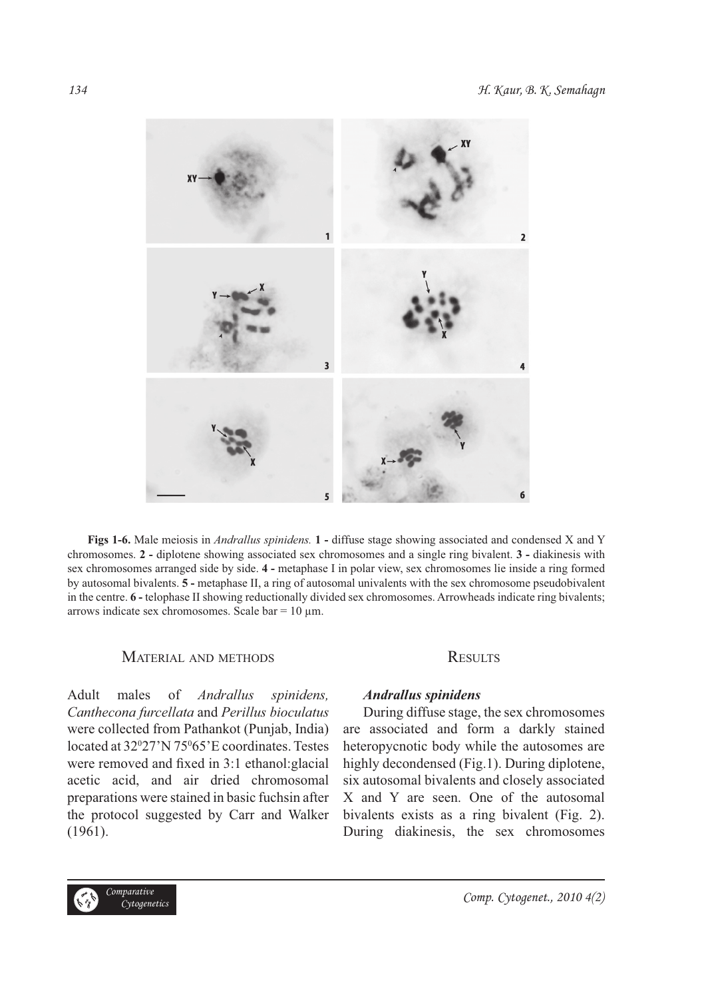

**Figs 1-6.** Male meiosis in *Andrallus spinidens.* **1 -** diffuse stage showing associated and condensed X and Y chromosomes. **2 -** diplotene showing associated sex chromosomes and a single ring bivalent. **3 -** diakinesis with sex chromosomes arranged side by side. **4 -** metaphase I in polar view, sex chromosomes lie inside a ring formed by autosomal bivalents. **5 -** metaphase II, a ring of autosomal univalents with the sex chromosome pseudobivalent in the centre. **6 -** telophase II showing reductionally divided sex chromosomes. Arrowheads indicate ring bivalents; arrows indicate sex chromosomes. Scale bar = 10 μm.

## MATERIAL AND METHODS

Adult males of *Andrallus spinidens, Canthecona furcellata* and *Perillus bioculatus*  were collected from Pathankot (Punjab, India) located at 32°27'N 75°65'E coordinates. Testes were removed and fixed in 3:1 ethanol: glacial acetic acid, and air dried chromosomal preparations were stained in basic fuchsin after the protocol suggested by Carr and Walker (1961).

## **RESULTS**

## *Andrallus spinidens*

During diffuse stage, the sex chromosomes are associated and form a darkly stained heteropycnotic body while the autosomes are highly decondensed (Fig.1). During diplotene, six autosomal bivalents and closely associated X and Y are seen. One of the autosomal bivalents exists as a ring bivalent (Fig. 2). During diakinesis, the sex chromosomes

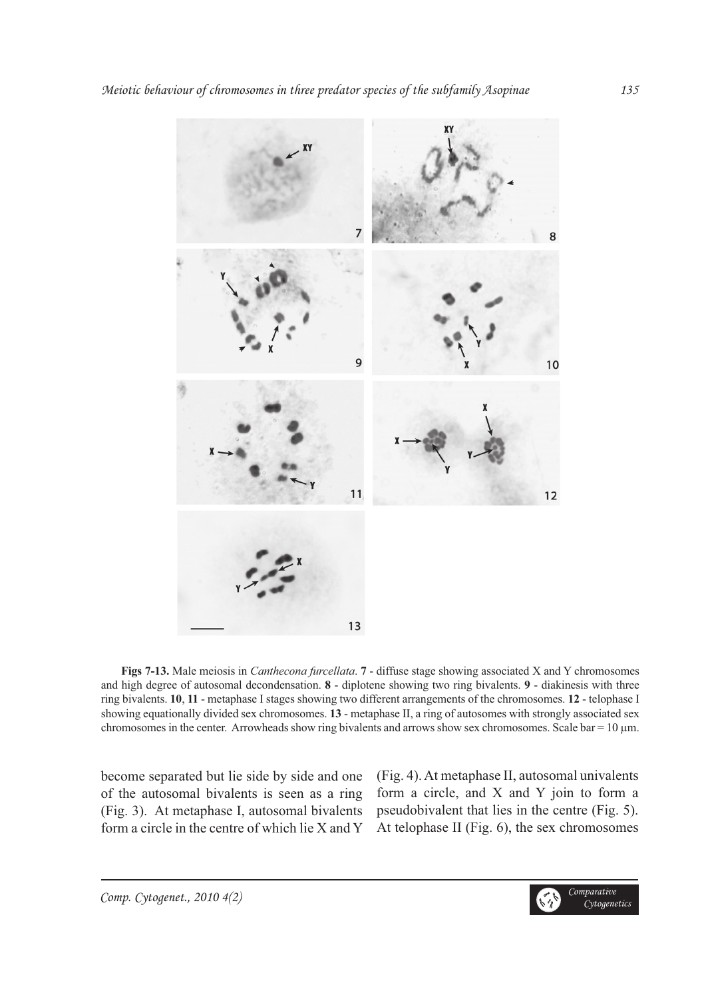

**Figs 7-13.** Male meiosis in *Canthecona furcellata*. **7** - diffuse stage showing associated X and Y chromosomes and high degree of autosomal decondensation. **8** - diplotene showing two ring bivalents. **9** - diakinesis with three ring bivalents. **10**, **11** - metaphase I stages showing two different arrangements of the chromosomes. **12** - telophase I showing equationally divided sex chromosomes. **13** - metaphase II, a ring of autosomes with strongly associated sex chromosomes in the center. Arrowheads show ring bivalents and arrows show sex chromosomes. Scale bar =  $10 \mu m$ .

become separated but lie side by side and one of the autosomal bivalents is seen as a ring (Fig. 3). At metaphase I, autosomal bivalents form a circle in the centre of which lie X and Y (Fig. 4). At metaphase II, autosomal univalents form a circle, and X and Y join to form a pseudobivalent that lies in the centre (Fig. 5). At telophase II (Fig. 6), the sex chromosomes

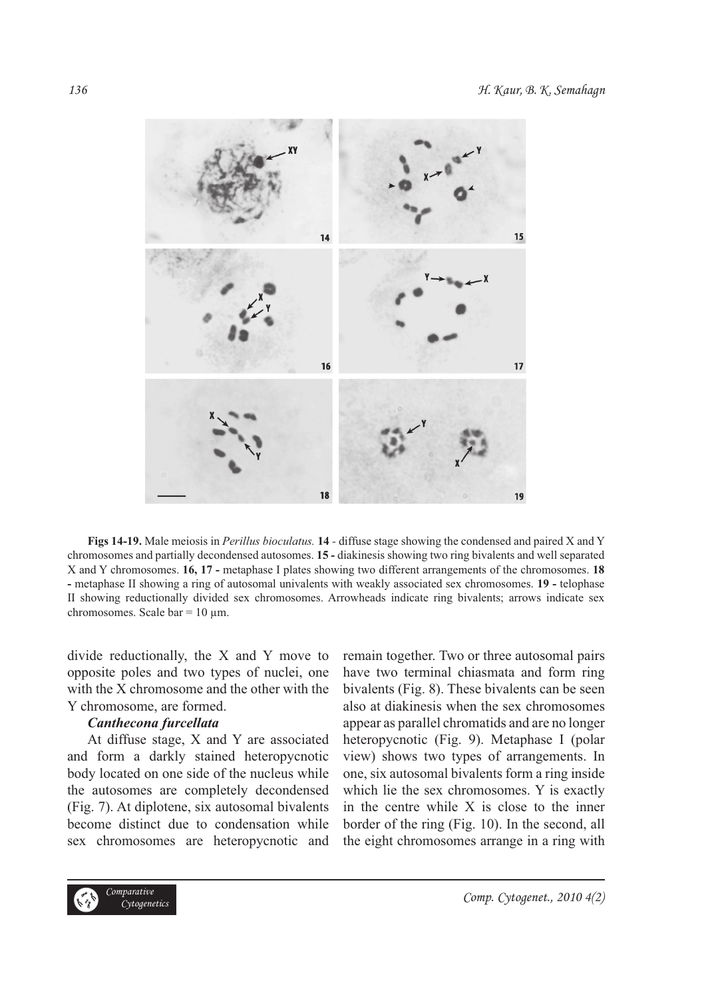

**Figs 14-19.** Male meiosis in *Perillus bioculatus.* **14** *-* diffuse stage showing the condensed and paired X and Y chromosomes and partially decondensed autosomes. **15 -** diakinesis showing two ring bivalents and well separated X and Y chromosomes. **16, 17 -** metaphase I plates showing two different arrangements of the chromosomes. **18 -** metaphase II showing a ring of autosomal univalents with weakly associated sex chromosomes. **19 -** telophase II showing reductionally divided sex chromosomes. Arrowheads indicate ring bivalents; arrows indicate sex chromosomes. Scale bar =  $10 \mu$ m.

divide reductionally, the X and Y move to opposite poles and two types of nuclei, one with the X chromosome and the other with the Y chromosome, are formed.

#### *Canthecona furcellata*

At diffuse stage, X and Y are associated and form a darkly stained heteropycnotic body located on one side of the nucleus while the autosomes are completely decondensed (Fig. 7). At diplotene, six autosomal bivalents become distinct due to condensation while sex chromosomes are heteropycnotic and remain together. Two or three autosomal pairs have two terminal chiasmata and form ring bivalents (Fig. 8). These bivalents can be seen also at diakinesis when the sex chromosomes appear as parallel chromatids and are no longer heteropycnotic (Fig. 9). Metaphase I (polar view) shows two types of arrangements. In one, six autosomal bivalents form a ring inside which lie the sex chromosomes. Y is exactly in the centre while X is close to the inner border of the ring (Fig. 10). In the second, all the eight chromosomes arrange in a ring with

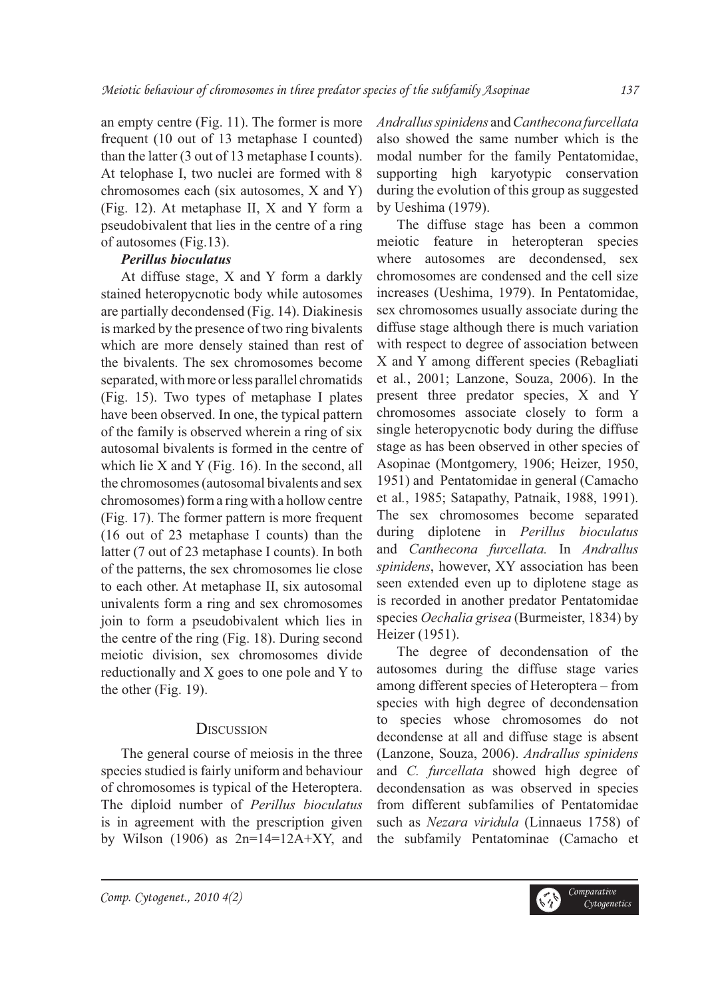an empty centre (Fig. 11). The former is more frequent (10 out of 13 metaphase I counted) than the latter (3 out of 13 metaphase I counts). At telophase I, two nuclei are formed with 8 chromosomes each (six autosomes, X and Y) (Fig. 12). At metaphase II, X and Y form a pseudobivalent that lies in the centre of a ring of autosomes (Fig.13).

## *Perillus bioculatus*

At diffuse stage, X and Y form a darkly stained heteropycnotic body while autosomes are partially decondensed (Fig. 14). Diakinesis is marked by the presence of two ring bivalents which are more densely stained than rest of the bivalents. The sex chromosomes become separated, with more or less parallel chromatids (Fig. 15). Two types of metaphase I plates have been observed. In one, the typical pattern of the family is observed wherein a ring of six autosomal bivalents is formed in the centre of which lie  $X$  and  $Y$  (Fig. 16). In the second, all the chromosomes (autosomal bivalents and sex chromosomes) form a ring with a hollow centre (Fig. 17). The former pattern is more frequent (16 out of 23 metaphase I counts) than the latter (7 out of 23 metaphase I counts). In both of the patterns, the sex chromosomes lie close to each other. At metaphase II, six autosomal univalents form a ring and sex chromosomes join to form a pseudobivalent which lies in the centre of the ring (Fig. 18). During second meiotic division, sex chromosomes divide reductionally and X goes to one pole and Y to the other (Fig. 19).

## **DISCUSSION**

The general course of meiosis in the three species studied is fairly uniform and behaviour of chromosomes is typical of the Heteroptera. The diploid number of *Perillus bioculatus* is in agreement with the prescription given by Wilson (1906) as  $2n=14=12A+XY$ , and

*Andrallus spinidens* and *Canthecona furcellata* also showed the same number which is the modal number for the family Pentatomidae, supporting high karyotypic conservation during the evolution of this group as suggested by Ueshima (1979).

The diffuse stage has been a common meiotic feature in heteropteran species where autosomes are decondensed, sex chromosomes are condensed and the cell size increases (Ueshima, 1979). In Pentatomidae, sex chromosomes usually associate during the diffuse stage although there is much variation with respect to degree of association between X and Y among different species (Rebagliati et al*.*, 2001; Lanzone, Souza, 2006). In the present three predator species, X and Y chromosomes associate closely to form a single heteropycnotic body during the diffuse stage as has been observed in other species of Asopinae (Montgomery, 1906; Heizer, 1950, 1951) and Pentatomidae in general (Camacho et al*.*, 1985; Satapathy, Patnaik, 1988, 1991). The sex chromosomes become separated during diplotene in *Perillus bioculatus*  and *Canthecona furcellata.* In *Andrallus spinidens*, however, XY association has been seen extended even up to diplotene stage as is recorded in another predator Pentatomidae species *Oechalia grisea* (Burmeister, 1834) by Heizer (1951).

The degree of decondensation of the autosomes during the diffuse stage varies among different species of Heteroptera – from species with high degree of decondensation to species whose chromosomes do not decondense at all and diffuse stage is absent (Lanzone, Souza, 2006). *Andrallus spinidens* and *C. furcellata* showed high degree of decondensation as was observed in species from different subfamilies of Pentatomidae such as *Nezara viridula* (Linnaeus 1758) of the subfamily Pentatominae (Camacho et

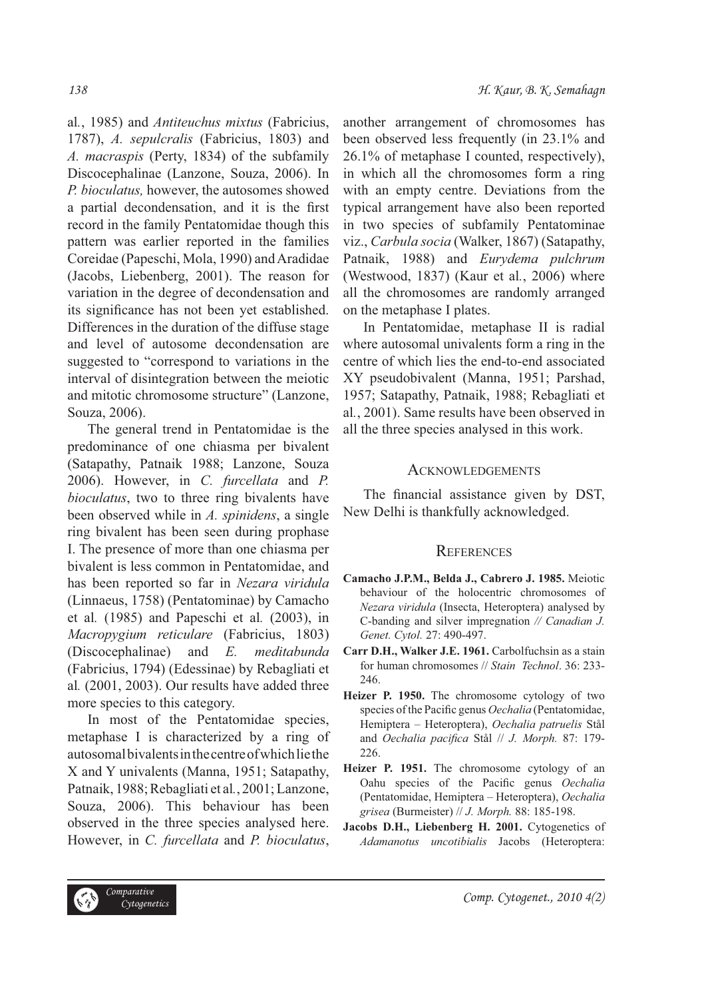al*.*, 1985) and *Antiteuchus mixtus* (Fabricius, 1787), *A. sepulcralis* (Fabricius, 1803) and *A. macraspis* (Perty, 1834) of the subfamily Discocephalinae (Lanzone, Souza, 2006). In *P. bioculatus,* however, the autosomes showed a partial decondensation, and it is the first record in the family Pentatomidae though this pattern was earlier reported in the families Coreidae (Papeschi, Mola, 1990) and Aradidae (Jacobs, Liebenberg, 2001). The reason for variation in the degree of decondensation and its significance has not been yet established. Differences in the duration of the diffuse stage and level of autosome decondensation are suggested to "correspond to variations in the interval of disintegration between the meiotic and mitotic chromosome structure" (Lanzone, Souza, 2006).

The general trend in Pentatomidae is the predominance of one chiasma per bivalent (Satapathy, Patnaik 1988; Lanzone, Souza 2006). However, in *C. furcellata* and *P. bioculatus*, two to three ring bivalents have been observed while in *A. spinidens*, a single ring bivalent has been seen during prophase I. The presence of more than one chiasma per bivalent is less common in Pentatomidae, and has been reported so far in *Nezara viridula* (Linnaeus, 1758) (Pentatominae) by Camacho et al*.* (1985) and Papeschi et al*.* (2003), in *Macropygium reticulare* (Fabricius, 1803) (Discocephalinae) and *E. meditabunda*  (Fabricius, 1794) (Edessinae) by Rebagliati et al*.* (2001, 2003). Our results have added three more species to this category.

In most of the Pentatomidae species, metaphase I is characterized by a ring of autosomal bivalents in the centre of which lie the X and Y univalents (Manna, 1951; Satapathy, Patnaik, 1988; Rebagliati et al*.*, 2001; Lanzone, Souza, 2006). This behaviour has been observed in the three species analysed here. However, in *C. furcellata* and *P. bioculatus*,

another arrangement of chromosomes has been observed less frequently (in 23.1% and 26.1% of metaphase I counted, respectively), in which all the chromosomes form a ring with an empty centre. Deviations from the typical arrangement have also been reported in two species of subfamily Pentatominae viz., *Carbula socia* (Walker, 1867) (Satapathy, Patnaik, 1988) and *Eurydema pulchrum* (Westwood, 1837) (Kaur et al*.*, 2006) where all the chromosomes are randomly arranged on the metaphase I plates.

In Pentatomidae, metaphase II is radial where autosomal univalents form a ring in the centre of which lies the end-to-end associated XY pseudobivalent (Manna, 1951; Parshad, 1957; Satapathy, Patnaik, 1988; Rebagliati et al*.*, 2001). Same results have been observed in all the three species analysed in this work.

## **ACKNOWLEDGEMENTS**

The financial assistance given by DST, New Delhi is thankfully acknowledged.

## **REFERENCES**

- **Camacho J.P.M., Belda J., Cabrero J. 1985.** Meiotic behaviour of the holocentric chromosomes of *Nezara viridula* (Insecta, Heteroptera) analysed by C-banding and silver impregnation *// Canadian J. Genet. Cytol.* 27: 490-497.
- **Carr D.H., Walker J.E. 1961.** Carbolfuchsin as a stain for human chromosomes // *Stain Technol*. 36: 233- 246.
- **Heizer P. 1950.** The chromosome cytology of two species of the Pacific genus *Oechalia* (Pentatomidae, Hemiptera – Heteroptera), *Oechalia patruelis* Stål and *Oechalia pacifica* Stål // *J. Morph.* 87: 179-226.
- **Heizer P. 1951.** The chromosome cytology of an Oahu species of the Pacific genus *Oechalia* (Pentatomidae, Hemiptera – Heteroptera), *Oechalia grisea* (Burmeister) // *J. Morph.* 88: 185-198.
- Jacobs D.H., Liebenberg H. 2001. Cytogenetics of *Adamanotus uncotibialis* Jacobs (Heteroptera: